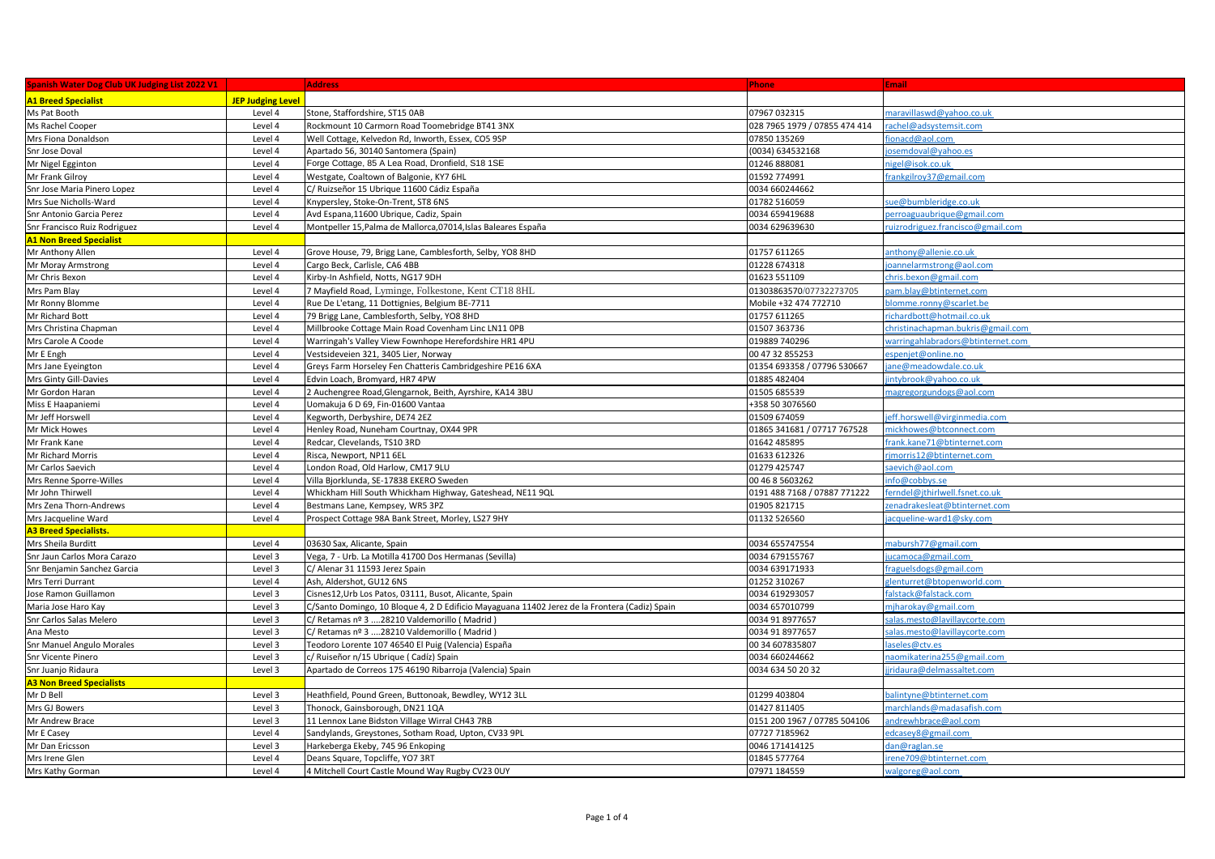| <b>Spanish Water Dog Club UK Judging List 2022 V1</b> |                          | <b>Address</b>                                                                                | <b>Phone</b>                  | <b>Email</b>                      |
|-------------------------------------------------------|--------------------------|-----------------------------------------------------------------------------------------------|-------------------------------|-----------------------------------|
| <b>A1 Breed Specialist</b>                            | <b>JEP Judging Level</b> |                                                                                               |                               |                                   |
| Ms Pat Booth                                          | Level 4                  | Stone, Staffordshire, ST15 0AB                                                                | 07967 032315                  | naravillaswd@yahoo.co.uk          |
| Ms Rachel Cooper                                      | Level 4                  | Rockmount 10 Carmorn Road Toomebridge BT41 3NX                                                | 028 7965 1979 / 07855 474 414 | rachel@adsystemsit.com            |
| Mrs Fiona Donaldson                                   | Level 4                  | Well Cottage, Kelvedon Rd, Inworth, Essex, CO5 9SP                                            | 07850 135269                  | fionacd@aol.com                   |
| Snr Jose Doval                                        | Level 4                  | Apartado 56, 30140 Santomera (Spain)                                                          | (0034) 634532168              | osemdoval@yahoo.es                |
| Mr Nigel Egginton                                     | Level 4                  | Forge Cottage, 85 A Lea Road, Dronfield, S18 1SE                                              | 01246 888081                  | nigel@isok.co.uk                  |
| Mr Frank Gilroy                                       | Level 4                  | Westgate, Coaltown of Balgonie, KY7 6HL                                                       | 01592 774991                  | frankgilroy37@gmail.com           |
| Snr Jose Maria Pinero Lopez                           | Level 4                  | C/ Ruizseñor 15 Ubrique 11600 Cádiz España                                                    | 0034 660244662                |                                   |
| Mrs Sue Nicholls-Ward                                 | Level 4                  | Knypersley, Stoke-On-Trent, ST8 6NS                                                           | 01782 516059                  | sue@bumbleridge.co.uk             |
| Snr Antonio Garcia Perez                              | Level 4                  | Avd Espana,11600 Ubrique, Cadiz, Spain                                                        | 0034 659419688                | perroaguaubrique@gmail.com        |
| Snr Francisco Ruiz Rodriguez                          | Level 4                  | Montpeller 15, Palma de Mallorca, 07014, Islas Baleares España                                | 0034 629639630                | ruizrodriguez.francisco@gmail.com |
| <b>A1 Non Breed Specialist</b>                        |                          |                                                                                               |                               |                                   |
| Mr Anthony Allen                                      | Level 4                  | Grove House, 79, Brigg Lane, Camblesforth, Selby, YO8 8HD                                     | 01757 611265                  | anthony@allenie.co.uk             |
| Mr Moray Armstrong                                    | Level 4                  | Cargo Beck, Carlisle, CA6 4BB                                                                 | 01228 674318                  | oannelarmstrong@aol.com           |
| Mr Chris Bexon                                        | Level 4                  | Kirby-In Ashfield, Notts, NG17 9DH                                                            | 01623 551109                  | chris.bexon@gmail.com             |
| Mrs Pam Blay                                          | Level 4                  | 7 Mayfield Road, Lyminge, Folkestone, Kent CT18 8HL                                           | 01303863570/07732273705       | pam.blay@btinternet.com           |
| Mr Ronny Blomme                                       | Level 4                  | Rue De L'etang, 11 Dottignies, Belgium BE-7711                                                | Mobile +32 474 772710         | blomme.ronny@scarlet.be           |
| Mr Richard Bott                                       | Level 4                  | 79 Brigg Lane, Camblesforth, Selby, YO8 8HD                                                   | 01757 611265                  | richardbott@hotmail.co.uk         |
| Mrs Christina Chapman                                 | Level 4                  | Millbrooke Cottage Main Road Covenham Linc LN11 OPB                                           | 01507 363736                  | christinachapman.bukris@gmail.com |
| Mrs Carole A Coode                                    | Level 4                  | Warringah's Valley View Fownhope Herefordshire HR1 4PU                                        | 019889 740296                 | warringahlabradors@btinternet.com |
| Mr E Engh                                             | Level 4                  | Vestsideveien 321, 3405 Lier, Norway                                                          | 00 47 32 855253               | espenjet@online.no                |
| Mrs Jane Eyeington                                    | Level 4                  | Greys Farm Horseley Fen Chatteris Cambridgeshire PE16 6XA                                     | 01354 693358 / 07796 530667   | ane@meadowdale.co.uk              |
| Mrs Ginty Gill-Davies                                 | Level 4                  | Edvin Loach, Bromyard, HR7 4PW                                                                | 01885 482404                  | intybrook@yahoo.co.uk             |
| Mr Gordon Haran                                       | Level 4                  | 2 Auchengree Road, Glengarnok, Beith, Ayrshire, KA14 3BU                                      | 01505 685539                  | magregorgundogs@aol.com           |
| Miss E Haapaniemi                                     | Level 4                  | Uomakuja 6 D 69, Fin-01600 Vantaa                                                             | +358 50 3076560               |                                   |
| Mr Jeff Horswell                                      | Level 4                  | Kegworth, Derbyshire, DE74 2EZ                                                                | 01509 674059                  | eff.horswell@virginmedia.com      |
| Mr Mick Howes                                         | Level 4                  | Henley Road, Nuneham Courtnay, OX44 9PR                                                       | 01865 341681 / 07717 767528   | mickhowes@btconnect.com           |
| Mr Frank Kane                                         | Level 4                  | Redcar, Clevelands, TS10 3RD                                                                  | 01642 485895                  | frank.kane71@btinternet.com       |
| Mr Richard Morris                                     | Level 4                  | Risca, Newport, NP11 6EL                                                                      | 01633 612326                  | rimorris12@btinternet.com         |
| Mr Carlos Saevich                                     | Level 4                  | London Road, Old Harlow, CM17 9LU                                                             | 01279 425747                  | saevich@aol.com                   |
| Mrs Renne Sporre-Willes                               | Level 4                  | Villa Bjorklunda, SE-17838 EKERO Sweden                                                       | 00 46 8 5603262               | info@cobbys.se                    |
| Mr John Thirwell                                      | Level 4                  | Whickham Hill South Whickham Highway, Gateshead, NE11 9QL                                     | 0191 488 7168 / 07887 771222  | ferndel@jthirlwell.fsnet.co.uk    |
| Mrs Zena Thorn-Andrews                                | Level 4                  | Bestmans Lane, Kempsey, WR5 3PZ                                                               | 01905 821715                  | zenadrakesleat@btinternet.com     |
| Mrs Jacqueline Ward                                   | Level 4                  | Prospect Cottage 98A Bank Street, Morley, LS27 9HY                                            | 01132 526560                  | acqueline-ward1@sky.com           |
| <b>A3 Breed Specialists.</b>                          |                          |                                                                                               |                               |                                   |
| Mrs Sheila Burditt                                    | Level 4                  | 03630 Sax, Alicante, Spain                                                                    | 0034 655747554                | mabursh77@gmail.com               |
| Snr Jaun Carlos Mora Carazo                           | Level 3                  | Vega, 7 - Urb. La Motilla 41700 Dos Hermanas (Sevilla)                                        | 0034 679155767                | ucamoca@gmail.com                 |
| Snr Benjamin Sanchez Garcia                           | Level 3                  | C/ Alenar 31 11593 Jerez Spain                                                                | 0034 639171933                | fraguelsdogs@gmail.com            |
| Mrs Terri Durrant                                     | Level 4                  | Ash, Aldershot, GU12 6NS                                                                      | 01252 310267                  | glenturret@btopenworld.com        |
| Jose Ramon Guillamon                                  | Level 3                  | Cisnes12, Urb Los Patos, 03111, Busot, Alicante, Spain                                        | 0034 619293057                | falstack@falstack.com             |
| Maria Jose Haro Kay                                   | Level 3                  | C/Santo Domingo, 10 Bloque 4, 2 D Edificio Mayaguana 11402 Jerez de la Frontera (Cadiz) Spain | 0034 657010799                | mjharokay@gmail.com               |
| Snr Carlos Salas Melero                               | Level 3                  | C/ Retamas nº 3 28210 Valdemorillo (Madrid)                                                   | 0034 91 8977657               | salas.mesto@lavillaycorte.com     |
| Ana Mesto                                             | Level 3                  | C/ Retamas nº 3 28210 Valdemorillo (Madrid)                                                   | 0034 91 8977657               | salas.mesto@lavillaycorte.com     |
| Snr Manuel Angulo Morales                             | Level 3                  | Teodoro Lorente 107 46540 El Puig (Valencia) España                                           | 00 34 607835807               | laseles@ctv.es                    |
| <b>Snr Vicente Pinero</b>                             | Level 3                  | c/ Ruiseñor n/15 Ubrique (Cadíz) Spain                                                        | 0034 660244662                | naomikaterina 255@gmail.com       |
| Snr Juanjo Ridaura                                    | Level 3                  | Apartado de Correos 175 46190 Ribarroja (Valencia) Spain                                      | 0034 634 50 20 32             | jridaura@delmassaltet.com         |
| <b>A3 Non Breed Specialists</b>                       |                          |                                                                                               |                               |                                   |
| Mr D Bell                                             | Level 3                  | Heathfield, Pound Green, Buttonoak, Bewdley, WY12 3LL                                         | 01299 403804                  | balintyne@btinternet.com          |
| Mrs GJ Bowers                                         | Level 3                  | Thonock, Gainsborough, DN21 1QA                                                               | 01427 811405                  | marchlands@madasafish.com         |
| Mr Andrew Brace                                       | Level 3                  | 11 Lennox Lane Bidston Village Wirral CH43 7RB                                                | 0151 200 1967 / 07785 504106  | andrewhbrace@aol.com              |
| Mr E Casey                                            | Level 4                  | Sandylands, Greystones, Sotham Road, Upton, CV33 9PL                                          | 07727 7185962                 | edcasey8@gmail.com                |
| Mr Dan Ericsson                                       | Level 3                  | Harkeberga Ekeby, 745 96 Enkoping                                                             | 0046 171414125                | dan@raglan.se                     |
| Mrs Irene Glen                                        | Level 4                  | Deans Square, Topcliffe, YO7 3RT                                                              | 01845 577764                  | irene709@btinternet.com           |
| Mrs Kathy Gorman                                      | Level 4                  | 4 Mitchell Court Castle Mound Way Rugby CV23 0UY                                              | 07971 184559                  | walgoreg@aol.com                  |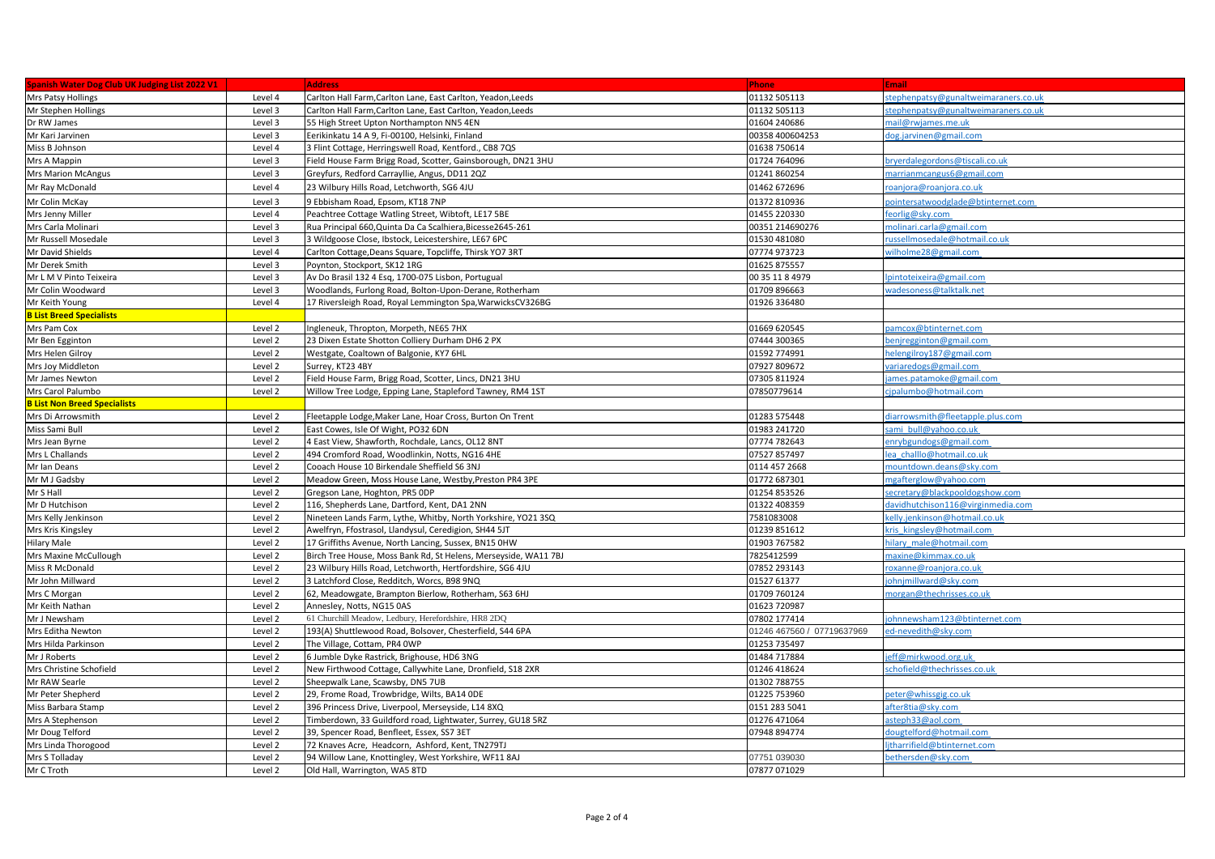| <b>Spanish Water Dog Club UK Judging List 2022 V1</b> |         | <b>Address</b>                                                  | <b>Phone</b>               | Email                                |
|-------------------------------------------------------|---------|-----------------------------------------------------------------|----------------------------|--------------------------------------|
| Mrs Patsy Hollings                                    | Level 4 | Carlton Hall Farm, Carlton Lane, East Carlton, Yeadon, Leeds    | 01132 505113               | stephenpatsy@gunaltweimaraners.co.uk |
| Mr Stephen Hollings                                   | Level 3 | Carlton Hall Farm, Carlton Lane, East Carlton, Yeadon, Leeds    | 01132 505113               | stephenpatsy@gunaltweimaraners.co.uk |
| Dr RW James                                           | Level 3 | 55 High Street Upton Northampton NN5 4EN                        | 01604 240686               | mail@rwjames.me.uk                   |
| Mr Kari Jarvinen                                      | Level 3 | Eerikinkatu 14 A 9, Fi-00100, Helsinki, Finland                 | 00358 400604253            | dog.jarvinen@gmail.com               |
| Miss B Johnson                                        | Level 4 | 3 Flint Cottage, Herringswell Road, Kentford., CB8 7QS          | 01638 750614               |                                      |
| Mrs A Mappin                                          | Level 3 | Field House Farm Brigg Road, Scotter, Gainsborough, DN21 3HU    | 01724 764096               | oryerdalegordons@tiscali.co.uk       |
| <b>Mrs Marion McAngus</b>                             | Level 3 | Greyfurs, Redford Carrayllie, Angus, DD11 2QZ                   | 01241 860254               | marrianmcangus6@gmail.com            |
| Mr Ray McDonald                                       | Level 4 | 23 Wilbury Hills Road, Letchworth, SG6 4JU                      | 01462 672696               | roanjora@roanjora.co.uk              |
| Mr Colin McKay                                        | Level 3 | 9 Ebbisham Road, Epsom, KT18 7NP                                | 01372 810936               | pointersatwoodglade@btinternet.com   |
| Mrs Jenny Miller                                      | Level 4 | Peachtree Cottage Watling Street, Wibtoft, LE17 5BE             | 01455 220330               | feorlig@sky.com                      |
| Mrs Carla Molinari                                    | Level 3 | Rua Principal 660, Quinta Da Ca Scalhiera, Bicesse 2645-261     | 00351 214690276            | molinari.carla@gmail.com             |
| Mr Russell Mosedale                                   | Level 3 | 3 Wildgoose Close, Ibstock, Leicestershire, LE67 6PC            | 01530 481080               | russellmosedale@hotmail.co.uk        |
| Mr David Shields                                      | Level 4 | Carlton Cottage, Deans Square, Topcliffe, Thirsk YO7 3RT        | 07774 973723               | wilholme28@gmail.com                 |
| Mr Derek Smith                                        | Level 3 | Poynton, Stockport, SK12 1RG                                    | 01625 875557               |                                      |
| Mr L M V Pinto Teixeira                               | Level 3 | Av Do Brasil 132 4 Esq, 1700-075 Lisbon, Portugual              | 00 35 11 8 4979            | pintoteixeira@gmail.com              |
| Mr Colin Woodward                                     | Level 3 | Woodlands, Furlong Road, Bolton-Upon-Derane, Rotherham          | 01709 896663               | wadesoness@talktalk.net              |
| Mr Keith Young                                        | Level 4 | 17 Riversleigh Road, Royal Lemmington Spa, WarwicksCV326BG      | 01926 336480               |                                      |
| <b>B List Breed Specialists</b>                       |         |                                                                 |                            |                                      |
| Mrs Pam Cox                                           | Level 2 | Ingleneuk, Thropton, Morpeth, NE65 7HX                          | 01669 620545               | pamcox@btinternet.com                |
| Mr Ben Egginton                                       | Level 2 | 23 Dixen Estate Shotton Colliery Durham DH6 2 PX                | 07444 300365               | oenjregginton@gmail.com              |
| Mrs Helen Gilroy                                      | Level 2 | Westgate, Coaltown of Balgonie, KY7 6HL                         | 01592 774991               | helengilroy187@gmail.com             |
| Mrs Joy Middleton                                     | Level 2 | Surrey, KT23 4BY                                                | 07927 809672               | variaredogs@gmail.com                |
| Mr James Newton                                       | Level 2 | Field House Farm, Brigg Road, Scotter, Lincs, DN21 3HU          | 07305 811924               | ames.patamoke@gmail.com              |
| Mrs Carol Palumbo                                     | Level 2 | Willow Tree Lodge, Epping Lane, Stapleford Tawney, RM4 1ST      | 07850779614                | cipalumbo@hotmail.com                |
| <b>B List Non Breed Specialists</b>                   |         |                                                                 |                            |                                      |
| Mrs Di Arrowsmith                                     | Level 2 | Fleetapple Lodge, Maker Lane, Hoar Cross, Burton On Trent       | 01283 575448               | diarrowsmith@fleetapple.plus.com     |
| Miss Sami Bull                                        | Level 2 | East Cowes, Isle Of Wight, PO32 6DN                             | 01983 241720               | sami bull@yahoo.co.uk                |
| Mrs Jean Byrne                                        | Level 2 | 4 East View, Shawforth, Rochdale, Lancs, OL12 8NT               | 07774 782643               | enrybgundogs@gmail.com               |
| Mrs L Challands                                       | Level 2 | 494 Cromford Road, Woodlinkin, Notts, NG16 4HE                  | 07527 857497               | lea challlo@hotmail.co.uk            |
| Mr Ian Deans                                          | Level 2 | Cooach House 10 Birkendale Sheffield S6 3NJ                     | 0114 457 2668              | mountdown.deans@sky.com              |
| Mr M J Gadsby                                         | Level 2 | Meadow Green, Moss House Lane, Westby, Preston PR4 3PE          | 01772 687301               | mgafterglow@yahoo.com                |
| Mr S Hall                                             | Level 2 | Gregson Lane, Hoghton, PR5 ODP                                  | 01254 853526               | secretary@blackpooldogshow.com       |
| Mr D Hutchison                                        | Level 2 | 116, Shepherds Lane, Dartford, Kent, DA1 2NN                    | 01322 408359               | davidhutchison116@virginmedia.com    |
| Mrs Kelly Jenkinson                                   | Level 2 | Nineteen Lands Farm, Lythe, Whitby, North Yorkshire, YO21 3SQ   | 7581083008                 | kelly.ienkinson@hotmail.co.uk        |
| Mrs Kris Kingsley                                     | Level 2 | Awelfryn, Ffostrasol, Llandysul, Ceredigion, SH44 5JT           | 01239 851612               | kris kingsley@hotmail.com            |
| Hilary Male                                           | Level 2 | 17 Griffiths Avenue, North Lancing, Sussex, BN15 0HW            | 01903 767582               | hilary male@hotmail.com              |
| Mrs Maxine McCullough                                 | Level 2 | Birch Tree House, Moss Bank Rd, St Helens, Merseyside, WA11 7BJ | 7825412599                 | maxine@kimmax.co.uk                  |
| Miss R McDonald                                       | Level 2 | 23 Wilbury Hills Road, Letchworth, Hertfordshire, SG6 4JU       | 07852 293143               | oxanne@roaniora.co.uk                |
| Mr John Millward                                      | Level 2 | 3 Latchford Close, Redditch, Worcs, B98 9NQ                     | 01527 61377                | iohnimillward@skv.com                |
| Mrs C Morgan                                          | Level 2 | 62, Meadowgate, Brampton Bierlow, Rotherham, S63 6HJ            | 01709 760124               | morgan@thechrisses.co.uk             |
| Mr Keith Nathan                                       | Level 2 | Annesley, Notts, NG15 0AS                                       | 01623 720987               |                                      |
| Mr J Newsham                                          | Level 2 | 61 Churchill Meadow, Ledbury, Herefordshire, HR8 2DQ            | 07802 177414               | johnnewsham123@btinternet.com        |
| Mrs Editha Newton                                     | Level 2 | 193(A) Shuttlewood Road, Bolsover, Chesterfield, S44 6PA        | 01246 467560 / 07719637969 | ed-nevedith@skv.com                  |
| Mrs Hilda Parkinson                                   | Level 2 | The Village, Cottam, PR4 OWP                                    | 01253 735497               |                                      |
| Mr J Roberts                                          | Level 2 | 6 Jumble Dyke Rastrick, Brighouse, HD6 3NG                      | 01484 717884               | eff@mirkwood.org.uk                  |
| Mrs Christine Schofield                               | Level 2 | New Firthwood Cottage, Callywhite Lane, Dronfield, S18 2XR      | 01246 418624               | schofield@thechrisses.co.ul          |
| Mr RAW Searle                                         | Level 2 | Sheepwalk Lane, Scawsby, DN5 7UB                                | 01302 788755               |                                      |
| Mr Peter Shepherd                                     | Level 2 | 29, Frome Road, Trowbridge, Wilts, BA14 ODE                     | 01225 753960               | beter@whissgig.co.uk                 |
| Miss Barbara Stamp                                    | Level 2 | 396 Princess Drive, Liverpool, Merseyside, L14 8XQ              | 0151 283 5041              | after8tia@skv.com                    |
| Mrs A Stephenson                                      | Level 2 | Timberdown, 33 Guildford road, Lightwater, Surrey, GU18 5RZ     | 01276 471064               | asteph33@aol.com                     |
| Mr Doug Telford                                       | Level 2 | 39, Spencer Road, Benfleet, Essex, SS7 3ET                      | 07948 894774               | dougtelford@hotmail.com              |
| Mrs Linda Thorogood                                   | Level 2 | 72 Knaves Acre, Headcorn, Ashford, Kent, TN279TJ                |                            | litharrifield@btinternet.com         |
| Mrs S Tolladay                                        | Level 2 | 94 Willow Lane, Knottingley, West Yorkshire, WF11 8AJ           | 07751 039030               | bethersden@sky.com                   |
| Mr C Troth                                            | Level 2 | Old Hall, Warrington, WA5 8TD                                   | 07877 071029               |                                      |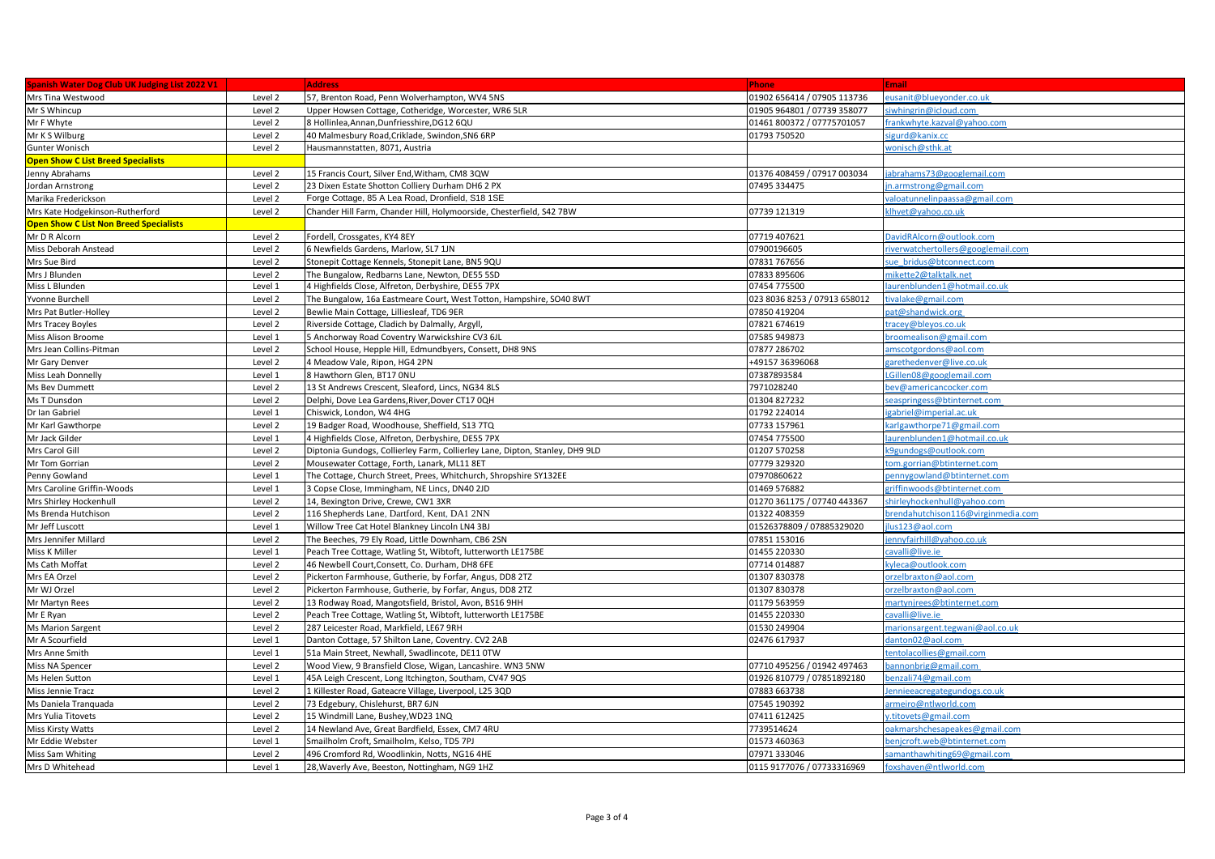| Spanish Water Dog Club UK Judging List 2022 V1 |         | <b>Address</b>                                                               | <b>Phone</b>                 | <b>Email</b>                      |
|------------------------------------------------|---------|------------------------------------------------------------------------------|------------------------------|-----------------------------------|
| Mrs Tina Westwood                              | Level 2 | 57, Brenton Road, Penn Wolverhampton, WV4 5NS                                | 01902 656414 / 07905 113736  | eusanit@blueyonder.co.uk          |
| Mr S Whincup                                   | Level 2 | Upper Howsen Cottage, Cotheridge, Worcester, WR6 5LR                         | 01905 964801 / 07739 358077  | iwhingrin@icloud.com              |
| Mr F Whyte                                     | Level 2 | 8 Hollinlea, Annan, Dunfriesshire, DG12 6QU                                  | 01461 800372 / 07775701057   | rankwhyte.kazval@yahoo.com        |
| Mr K S Wilburg                                 | Level 2 | 40 Malmesbury Road, Criklade, Swindon, SN6 6RP                               | 01793 750520                 | igurd@kanix.cc                    |
| Gunter Wonisch                                 | Level 2 | Hausmannstatten, 8071, Austria                                               |                              | wonisch@sthk.at                   |
| <b>Open Show C List Breed Specialists</b>      |         |                                                                              |                              |                                   |
| Jenny Abrahams                                 | Level 2 | 15 Francis Court, Silver End, Witham, CM8 3QW                                | 01376 408459 / 07917 003034  | abrahams73@googlemail.com         |
| Jordan Arnstrong                               | Level 2 | 23 Dixen Estate Shotton Colliery Durham DH6 2 PX                             | 07495 334475                 | n.armstrong@gmail.com             |
| Marika Frederickson                            | Level 2 | Forge Cottage, 85 A Lea Road, Dronfield, S18 1SE                             |                              | valoatunnelinpaassa@gmail.com     |
| Mrs Kate Hodgekinson-Rutherford                | Level 2 | Chander Hill Farm, Chander Hill, Holymoorside, Chesterfield, S42 7BW         | 07739 121319                 | lhvet@yahoo.co.uk                 |
| <b>Open Show C List Non Breed Specialists</b>  |         |                                                                              |                              |                                   |
| Mr D R Alcorn                                  | Level 2 | Fordell, Crossgates, KY4 8EY                                                 | 07719 407621                 | 0avidRAlcorn@outlook.com          |
| Miss Deborah Anstead                           | Level 2 | 6 Newfields Gardens, Marlow, SL7 1JN                                         | 07900196605                  | iverwatchertollers@googlemail.com |
| Mrs Sue Bird                                   | Level 2 | Stonepit Cottage Kennels, Stonepit Lane, BN5 9QU                             | 07831 767656                 | ue bridus@btconnect.com           |
| Mrs J Blunden                                  | Level 2 | The Bungalow, Redbarns Lane, Newton, DE55 5SD                                | 07833 895606                 | nikette2@talktalk.net             |
| Miss L Blunden                                 | Level 1 | 4 Highfields Close, Alfreton, Derbyshire, DE55 7PX                           | 07454 775500                 | aurenblunden1@hotmail.co.uk       |
| Yvonne Burchell                                | Level 2 | The Bungalow, 16a Eastmeare Court, West Totton, Hampshire, SO40 8WT          | 023 8036 8253 / 07913 658012 | ivalake@gmail.com                 |
| Mrs Pat Butler-Holley                          | Level 2 | Bewlie Main Cottage, Lilliesleaf, TD6 9ER                                    | 07850 419204                 | oat@shandwick.org                 |
| Mrs Tracey Boyles                              | Level 2 | Riverside Cottage, Cladich by Dalmally, Argyll                               | 07821 674619                 | racey@bleyos.co.uk                |
| Miss Alison Broome                             | Level 1 | 5 Anchorway Road Coventry Warwickshire CV3 6JL                               | 07585 949873                 | oroomealison@gmail.com            |
| Mrs Jean Collins-Pitman                        | Level 2 | School House, Hepple Hill, Edmundbyers, Consett, DH8 9NS                     | 07877 286702                 | amscotgordons@aol.com             |
| Mr Gary Denver                                 | Level 2 | 4 Meadow Vale, Ripon, HG4 2PN                                                | +49157 36396068              | tarethedenver@live.co.uk          |
| Miss Leah Donnelly                             | Level 1 | 8 Hawthorn Glen, BT17 ONU                                                    | 07387893584                  | Gillen08@googlemail.com           |
| Ms Bev Dummett                                 | Level 2 | 13 St Andrews Crescent, Sleaford, Lincs, NG34 8LS                            | 7971028240                   | ev@americancocker.com             |
| Ms T Dunsdon                                   | Level 2 | Delphi, Dove Lea Gardens, River, Dover CT17 0QH                              | 01304 827232                 | easpringess@btinternet.com        |
| Dr Ian Gabriel                                 | Level 1 | Chiswick, London, W4 4HG                                                     | 01792 224014                 | gabriel@imperial.ac.uk            |
| Mr Karl Gawthorpe                              | Level 2 | 19 Badger Road, Woodhouse, Sheffield, S13 7TQ                                | 07733 157961                 | carlgawthorpe71@gmail.com         |
| Mr Jack Gilder                                 | Level 1 | 4 Highfields Close, Alfreton, Derbyshire, DE55 7PX                           | 07454 775500                 | aurenblunden1@hotmail.co.uk       |
| Mrs Carol Gill                                 | Level 2 | Diptonia Gundogs, Collierley Farm, Collierley Lane, Dipton, Stanley, DH9 9LD | 01207 570258                 | <9gundogs@outlook.com             |
| Mr Tom Gorrian                                 | Level 2 | Mousewater Cottage, Forth, Lanark, ML11 8ET                                  | 07779 329320                 | om.gorrian@btinternet.com         |
| Penny Gowland                                  | Level 1 | The Cottage, Church Street, Prees, Whitchurch, Shropshire SY132EE            | 07970860622                  | ennygowland@btinternet.com        |
| Mrs Caroline Griffin-Woods                     | Level 1 | 3 Copse Close, Immingham, NE Lincs, DN40 2JD                                 | 01469 576882                 | griffinwoods@btinternet.com       |
| Mrs Shirley Hockenhull                         | Level 2 | 14, Bexington Drive, Crewe, CW1 3XR                                          | 01270 361175 / 07740 443367  | hirleyhockenhull@yahoo.com        |
| Ms Brenda Hutchison                            | Level 2 | 116 Shepherds Lane, Dartford, Kent, DA1 2NN                                  | 01322 408359                 | rendahutchison116@virginmedia.com |
| Mr Jeff Luscott                                | Level 1 | Willow Tree Cat Hotel Blankney Lincoln LN4 3BJ                               | 01526378809 / 07885329020    | us123@aol.com                     |
| Mrs Jennifer Millard                           | Level 2 | The Beeches, 79 Ely Road, Little Downham, CB6 2SN                            | 07851 153016                 | ennyfairhill@yahoo.co.uk          |
| Miss K Miller                                  | Level 1 | Peach Tree Cottage, Watling St, Wibtoft, lutterworth LE175BE                 | 01455 220330                 | avalli@live.ie                    |
| Ms Cath Moffat                                 | Level 2 | 46 Newbell Court, Consett, Co. Durham, DH8 6FE                               | 07714 014887                 | vleca@outlook.com                 |
| Mrs EA Orzel                                   | Level 2 | Pickerton Farmhouse, Gutherie, by Forfar, Angus, DD8 2TZ                     | 01307 830378                 | orzelbraxton@aol.com              |
| Mr WJ Orzel                                    | Level 2 | Pickerton Farmhouse, Gutherie, by Forfar, Angus, DD8 2TZ                     | 01307 830378                 | orzelbraxton@aol.com              |
| Mr Martyn Rees                                 | Level 2 | 13 Rodway Road, Mangotsfield, Bristol, Avon, BS16 9HH                        | 01179 563959                 | nartynjrees@btinternet.com        |
| Mr E Ryan                                      | Level 2 | Peach Tree Cottage, Watling St, Wibtoft, lutterworth LE175BE                 | 01455 220330                 | avalli@live.ie                    |
| Ms Marion Sargent                              | Level 2 | 287 Leicester Road, Markfield, LE67 9RH                                      | 01530 249904                 | marionsargent.tegwani@aol.co.uk   |
| Mr A Scourfield                                | Level 1 | Danton Cottage, 57 Shilton Lane, Coventry. CV2 2AB                           | 02476 617937                 | danton02@aol.com                  |
| Mrs Anne Smith                                 | Level 1 | 51a Main Street, Newhall, Swadlincote, DE11 0TW                              |                              | entolacollies@gmail.com           |
| Miss NA Spencer                                | Level 2 | Wood View, 9 Bransfield Close, Wigan, Lancashire. WN3 5NW                    | 07710 495256 / 01942 497463  | bannonbrig@gmail.com              |
| Ms Helen Sutton                                | Level 1 | 45A Leigh Crescent, Long Itchington, Southam, CV47 9QS                       | 01926 810779 / 07851892180   | enzali 74@gmail.com               |
| Miss Jennie Tracz                              | Level 2 | 1 Killester Road, Gateacre Village, Liverpool, L25 3QD                       | 07883 663738                 | ennieeacregategundogs.co.uk       |
| Ms Daniela Tranquada                           | Level 2 | 73 Edgebury, Chislehurst, BR7 6JN                                            | 07545 190392                 | armeiro@ntlworld.com              |
| Mrs Yulia Titovets                             | Level 2 | 15 Windmill Lane, Bushey, WD23 1NQ                                           | 07411 612425                 | v.titovets@gmail.com              |
| Miss Kirsty Watts                              | Level 2 | 14 Newland Ave, Great Bardfield, Essex, CM7 4RU                              | 7739514624                   | pakmarshchesapeakes@gmail.com     |
| Mr Eddie Webster                               | Level 1 | Smailholm Croft, Smailholm, Kelso, TD5 7PJ                                   | 01573 460363                 | penjcroft.web@btinternet.com      |
| Miss Sam Whiting                               | Level 2 | 496 Cromford Rd, Woodlinkin, Notts, NG16 4HE                                 | 07971333046                  | amanthawhiting69@gmail.com        |
| Mrs D Whitehead                                | Level 1 | 28, Waverly Ave, Beeston, Nottingham, NG9 1HZ                                | 0115 9177076 / 07733316969   | foxshaven@ntlworld.com            |